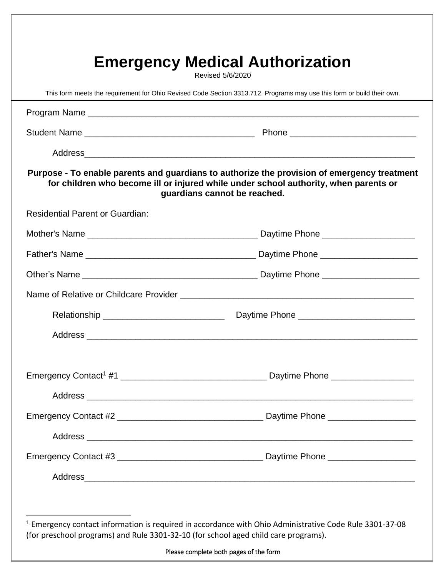| This form meets the requirement for Ohio Revised Code Section 3313.712. Programs may use this form or build their own. |                                                                                                                                                                                                                     |
|------------------------------------------------------------------------------------------------------------------------|---------------------------------------------------------------------------------------------------------------------------------------------------------------------------------------------------------------------|
|                                                                                                                        |                                                                                                                                                                                                                     |
|                                                                                                                        |                                                                                                                                                                                                                     |
|                                                                                                                        |                                                                                                                                                                                                                     |
|                                                                                                                        | Purpose - To enable parents and guardians to authorize the provision of emergency treatment<br>for children who become ill or injured while under school authority, when parents or<br>guardians cannot be reached. |
| <b>Residential Parent or Guardian:</b>                                                                                 |                                                                                                                                                                                                                     |
|                                                                                                                        |                                                                                                                                                                                                                     |
|                                                                                                                        |                                                                                                                                                                                                                     |
|                                                                                                                        |                                                                                                                                                                                                                     |
|                                                                                                                        |                                                                                                                                                                                                                     |
|                                                                                                                        |                                                                                                                                                                                                                     |
|                                                                                                                        |                                                                                                                                                                                                                     |
|                                                                                                                        |                                                                                                                                                                                                                     |
|                                                                                                                        |                                                                                                                                                                                                                     |
|                                                                                                                        |                                                                                                                                                                                                                     |
|                                                                                                                        |                                                                                                                                                                                                                     |
|                                                                                                                        |                                                                                                                                                                                                                     |
|                                                                                                                        |                                                                                                                                                                                                                     |